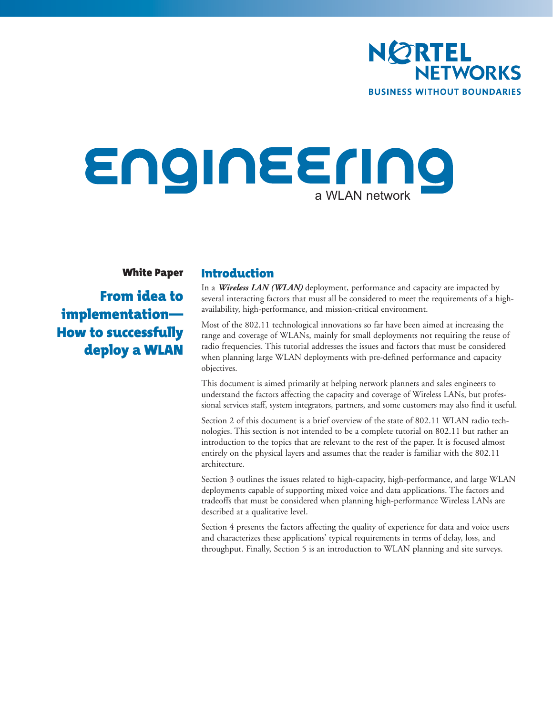

# Engineering a WLAN network

White Paper

From idea to implementation— How to successfully deploy a WLAN

# Introduction

In a *Wireless LAN (WLAN)* deployment, performance and capacity are impacted by several interacting factors that must all be considered to meet the requirements of a highavailability, high-performance, and mission-critical environment.

Most of the 802.11 technological innovations so far have been aimed at increasing the range and coverage of WLANs, mainly for small deployments not requiring the reuse of radio frequencies. This tutorial addresses the issues and factors that must be considered when planning large WLAN deployments with pre-defined performance and capacity objectives.

This document is aimed primarily at helping network planners and sales engineers to understand the factors affecting the capacity and coverage of Wireless LANs, but professional services staff, system integrators, partners, and some customers may also find it useful.

Section 2 of this document is a brief overview of the state of 802.11 WLAN radio technologies. This section is not intended to be a complete tutorial on 802.11 but rather an introduction to the topics that are relevant to the rest of the paper. It is focused almost entirely on the physical layers and assumes that the reader is familiar with the 802.11 architecture.

Section 3 outlines the issues related to high-capacity, high-performance, and large WLAN deployments capable of supporting mixed voice and data applications. The factors and tradeoffs that must be considered when planning high-performance Wireless LANs are described at a qualitative level.

Section 4 presents the factors affecting the quality of experience for data and voice users and characterizes these applications' typical requirements in terms of delay, loss, and throughput. Finally, Section 5 is an introduction to WLAN planning and site surveys.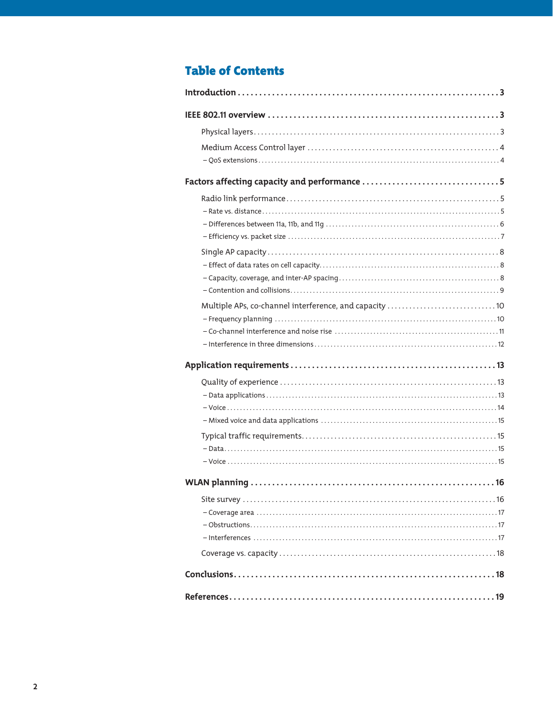# **Table of Contents**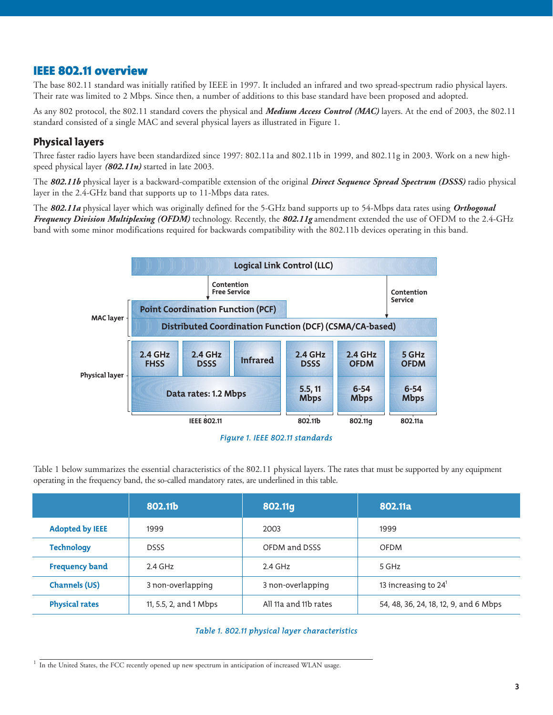# IEEE 802.11 overview

The base 802.11 standard was initially ratified by IEEE in 1997. It included an infrared and two spread-spectrum radio physical layers. Their rate was limited to 2 Mbps. Since then, a number of additions to this base standard have been proposed and adopted.

As any 802 protocol, the 802.11 standard covers the physical and *Medium Access Control (MAC)* layers. At the end of 2003, the 802.11 standard consisted of a single MAC and several physical layers as illustrated in Figure 1.

# Physical layers

Three faster radio layers have been standardized since 1997: 802.11a and 802.11b in 1999, and 802.11g in 2003. Work on a new highspeed physical layer *(802.11n)* started in late 2003.

The *802.11b* physical layer is a backward-compatible extension of the original *Direct Sequence Spread Spectrum (DSSS)* radio physical layer in the 2.4-GHz band that supports up to 11-Mbps data rates.

The *802.11a* physical layer which was originally defined for the 5-GHz band supports up to 54-Mbps data rates using *Orthogonal Frequency Division Multiplexing (OFDM)* technology. Recently, the *802.11g* amendment extended the use of OFDM to the 2.4-GHz band with some minor modifications required for backwards compatibility with the 802.11b devices operating in this band.



Table 1 below summarizes the essential characteristics of the 802.11 physical layers. The rates that must be supported by any equipment operating in the frequency band, the so-called mandatory rates, are underlined in this table.

|                        | 802.11b                | 802.11g               | 802.11a                               |
|------------------------|------------------------|-----------------------|---------------------------------------|
| <b>Adopted by IEEE</b> | 1999                   | 2003                  | 1999                                  |
| <b>Technology</b>      | <b>DSSS</b>            | OFDM and DSSS         | <b>OFDM</b>                           |
| <b>Frequency band</b>  | $2.4$ GHz              | $2.4$ GHz             | 5 GHz                                 |
| <b>Channels (US)</b>   | 3 non-overlapping      | 3 non-overlapping     | 13 increasing to $24^1$               |
| <b>Physical rates</b>  | 11, 5.5, 2, and 1 Mbps | All 11a and 11b rates | 54, 48, 36, 24, 18, 12, 9, and 6 Mbps |

#### *Table 1. 802.11 physical layer characteristics*

<sup>1</sup> In the United States, the FCC recently opened up new spectrum in anticipation of increased WLAN usage.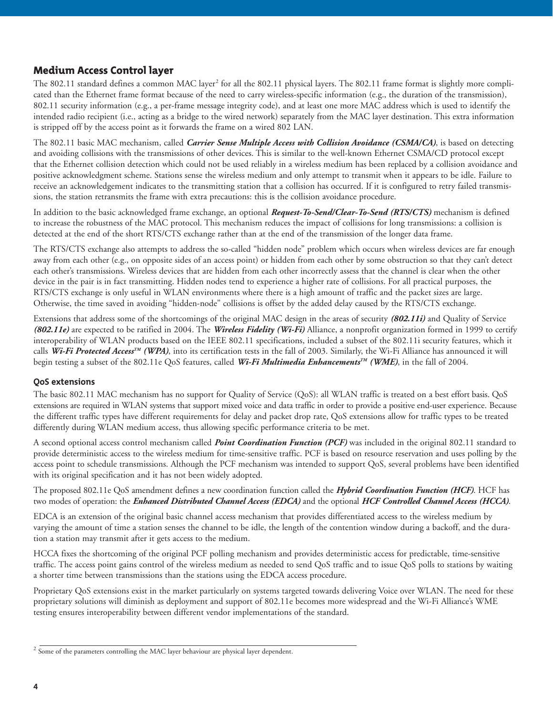# Medium Access Control layer

The 802.11 standard defines a common MAC layer<sup>2</sup> for all the 802.11 physical layers. The 802.11 frame format is slightly more complicated than the Ethernet frame format because of the need to carry wireless-specific information (e.g., the duration of the transmission), 802.11 security information (e.g., a per-frame message integrity code), and at least one more MAC address which is used to identify the intended radio recipient (i.e., acting as a bridge to the wired network) separately from the MAC layer destination. This extra information is stripped off by the access point as it forwards the frame on a wired 802 LAN.

The 802.11 basic MAC mechanism, called *Carrier Sense Multiple Access with Collision Avoidance (CSMA/CA)*, is based on detecting and avoiding collisions with the transmissions of other devices. This is similar to the well-known Ethernet CSMA/CD protocol except that the Ethernet collision detection which could not be used reliably in a wireless medium has been replaced by a collision avoidance and positive acknowledgment scheme. Stations sense the wireless medium and only attempt to transmit when it appears to be idle. Failure to receive an acknowledgement indicates to the transmitting station that a collision has occurred. If it is configured to retry failed transmissions, the station retransmits the frame with extra precautions: this is the collision avoidance procedure.

In addition to the basic acknowledged frame exchange, an optional *Request-To-Send/Clear-To-Send (RTS/CTS)* mechanism is defined to increase the robustness of the MAC protocol. This mechanism reduces the impact of collisions for long transmissions: a collision is detected at the end of the short RTS/CTS exchange rather than at the end of the transmission of the longer data frame.

The RTS/CTS exchange also attempts to address the so-called "hidden node" problem which occurs when wireless devices are far enough away from each other (e.g., on opposite sides of an access point) or hidden from each other by some obstruction so that they can't detect each other's transmissions. Wireless devices that are hidden from each other incorrectly assess that the channel is clear when the other device in the pair is in fact transmitting. Hidden nodes tend to experience a higher rate of collisions. For all practical purposes, the RTS/CTS exchange is only useful in WLAN environments where there is a high amount of traffic and the packet sizes are large. Otherwise, the time saved in avoiding "hidden-node" collisions is offset by the added delay caused by the RTS/CTS exchange.

Extensions that address some of the shortcomings of the original MAC design in the areas of security *(802.11i)* and Quality of Service *(802.11e)* are expected to be ratified in 2004. The *Wireless Fidelity (Wi-Fi)* Alliance, a nonprofit organization formed in 1999 to certify interoperability of WLAN products based on the IEEE 802.11 specifications, included a subset of the 802.11i security features, which it calls *Wi-Fi Protected AccessTM (WPA)*, into its certification tests in the fall of 2003. Similarly, the Wi-Fi Alliance has announced it will begin testing a subset of the 802.11e QoS features, called *Wi-Fi Multimedia EnhancementsTM (WME)*, in the fall of 2004.

#### **QoS extensions**

The basic 802.11 MAC mechanism has no support for Quality of Service (QoS): all WLAN traffic is treated on a best effort basis. QoS extensions are required in WLAN systems that support mixed voice and data traffic in order to provide a positive end-user experience. Because the different traffic types have different requirements for delay and packet drop rate, QoS extensions allow for traffic types to be treated differently during WLAN medium access, thus allowing specific performance criteria to be met.

A second optional access control mechanism called *Point Coordination Function (PCF)* was included in the original 802.11 standard to provide deterministic access to the wireless medium for time-sensitive traffic. PCF is based on resource reservation and uses polling by the access point to schedule transmissions. Although the PCF mechanism was intended to support QoS, several problems have been identified with its original specification and it has not been widely adopted.

The proposed 802.11e QoS amendment defines a new coordination function called the *Hybrid Coordination Function (HCF)*. HCF has two modes of operation: the *Enhanced Distributed Channel Access (EDCA)* and the optional *HCF Controlled Channel Access (HCCA)*.

EDCA is an extension of the original basic channel access mechanism that provides differentiated access to the wireless medium by varying the amount of time a station senses the channel to be idle, the length of the contention window during a backoff, and the duration a station may transmit after it gets access to the medium.

HCCA fixes the shortcoming of the original PCF polling mechanism and provides deterministic access for predictable, time-sensitive traffic. The access point gains control of the wireless medium as needed to send QoS traffic and to issue QoS polls to stations by waiting a shorter time between transmissions than the stations using the EDCA access procedure.

Proprietary QoS extensions exist in the market particularly on systems targeted towards delivering Voice over WLAN. The need for these proprietary solutions will diminish as deployment and support of 802.11e becomes more widespread and the Wi-Fi Alliance's WME testing ensures interoperability between different vendor implementations of the standard.

 $2$  Some of the parameters controlling the MAC layer behaviour are physical layer dependent.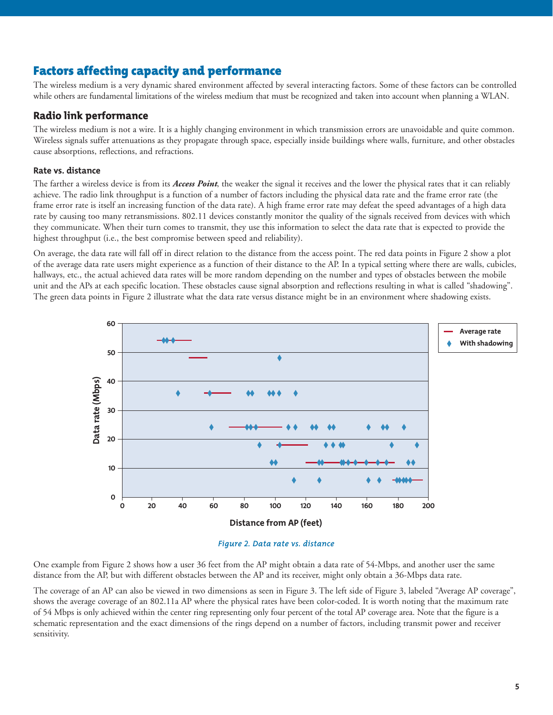# Factors affecting capacity and performance

The wireless medium is a very dynamic shared environment affected by several interacting factors. Some of these factors can be controlled while others are fundamental limitations of the wireless medium that must be recognized and taken into account when planning a WLAN.

# Radio link performance

The wireless medium is not a wire. It is a highly changing environment in which transmission errors are unavoidable and quite common. Wireless signals suffer attenuations as they propagate through space, especially inside buildings where walls, furniture, and other obstacles cause absorptions, reflections, and refractions.

### **Rate vs. distance**

The farther a wireless device is from its *Access Point*, the weaker the signal it receives and the lower the physical rates that it can reliably achieve. The radio link throughput is a function of a number of factors including the physical data rate and the frame error rate (the frame error rate is itself an increasing function of the data rate). A high frame error rate may defeat the speed advantages of a high data rate by causing too many retransmissions. 802.11 devices constantly monitor the quality of the signals received from devices with which they communicate. When their turn comes to transmit, they use this information to select the data rate that is expected to provide the highest throughput (i.e., the best compromise between speed and reliability).

On average, the data rate will fall off in direct relation to the distance from the access point. The red data points in Figure 2 show a plot of the average data rate users might experience as a function of their distance to the AP. In a typical setting where there are walls, cubicles, hallways, etc., the actual achieved data rates will be more random depending on the number and types of obstacles between the mobile unit and the APs at each specific location. These obstacles cause signal absorption and reflections resulting in what is called "shadowing". The green data points in Figure 2 illustrate what the data rate versus distance might be in an environment where shadowing exists.





One example from Figure 2 shows how a user 36 feet from the AP might obtain a data rate of 54-Mbps, and another user the same distance from the AP, but with different obstacles between the AP and its receiver, might only obtain a 36-Mbps data rate.

The coverage of an AP can also be viewed in two dimensions as seen in Figure 3. The left side of Figure 3, labeled "Average AP coverage", shows the average coverage of an 802.11a AP where the physical rates have been color-coded. It is worth noting that the maximum rate of 54 Mbps is only achieved within the center ring representing only four percent of the total AP coverage area. Note that the figure is a schematic representation and the exact dimensions of the rings depend on a number of factors, including transmit power and receiver sensitivity.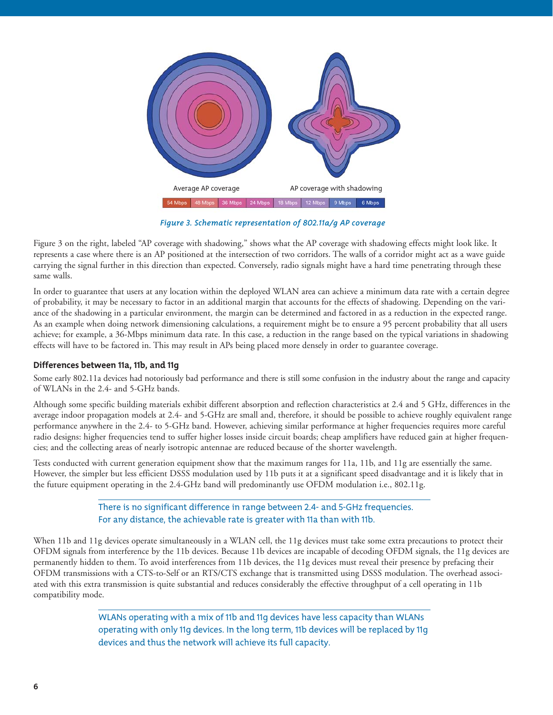

*Figure 3. Schematic representation of 802.11a/g AP coverage*

Figure 3 on the right, labeled "AP coverage with shadowing," shows what the AP coverage with shadowing effects might look like. It represents a case where there is an AP positioned at the intersection of two corridors. The walls of a corridor might act as a wave guide carrying the signal further in this direction than expected. Conversely, radio signals might have a hard time penetrating through these same walls.

In order to guarantee that users at any location within the deployed WLAN area can achieve a minimum data rate with a certain degree of probability, it may be necessary to factor in an additional margin that accounts for the effects of shadowing. Depending on the variance of the shadowing in a particular environment, the margin can be determined and factored in as a reduction in the expected range. As an example when doing network dimensioning calculations, a requirement might be to ensure a 95 percent probability that all users achieve; for example, a 36-Mbps minimum data rate. In this case, a reduction in the range based on the typical variations in shadowing effects will have to be factored in. This may result in APs being placed more densely in order to guarantee coverage.

# **Differences between 11a, 11b, and 11g**

Some early 802.11a devices had notoriously bad performance and there is still some confusion in the industry about the range and capacity of WLANs in the 2.4- and 5-GHz bands.

Although some specific building materials exhibit different absorption and reflection characteristics at 2.4 and 5 GHz, differences in the average indoor propagation models at 2.4- and 5-GHz are small and, therefore, it should be possible to achieve roughly equivalent range performance anywhere in the 2.4- to 5-GHz band. However, achieving similar performance at higher frequencies requires more careful radio designs: higher frequencies tend to suffer higher losses inside circuit boards; cheap amplifiers have reduced gain at higher frequencies; and the collecting areas of nearly isotropic antennae are reduced because of the shorter wavelength.

Tests conducted with current generation equipment show that the maximum ranges for 11a, 11b, and 11g are essentially the same. However, the simpler but less efficient DSSS modulation used by 11b puts it at a significant speed disadvantage and it is likely that in the future equipment operating in the 2.4-GHz band will predominantly use OFDM modulation i.e., 802.11g.

> There is no significant difference in range between 2.4- and 5-GHz frequencies. For any distance, the achievable rate is greater with 11a than with 11b.

When 11b and 11g devices operate simultaneously in a WLAN cell, the 11g devices must take some extra precautions to protect their OFDM signals from interference by the 11b devices. Because 11b devices are incapable of decoding OFDM signals, the 11g devices are permanently hidden to them. To avoid interferences from 11b devices, the 11g devices must reveal their presence by prefacing their OFDM transmissions with a CTS-to-Self or an RTS/CTS exchange that is transmitted using DSSS modulation. The overhead associated with this extra transmission is quite substantial and reduces considerably the effective throughput of a cell operating in 11b compatibility mode.

> WLANs operating with a mix of 11b and 11g devices have less capacity than WLANs operating with only 11g devices. In the long term, 11b devices will be replaced by 11g devices and thus the network will achieve its full capacity.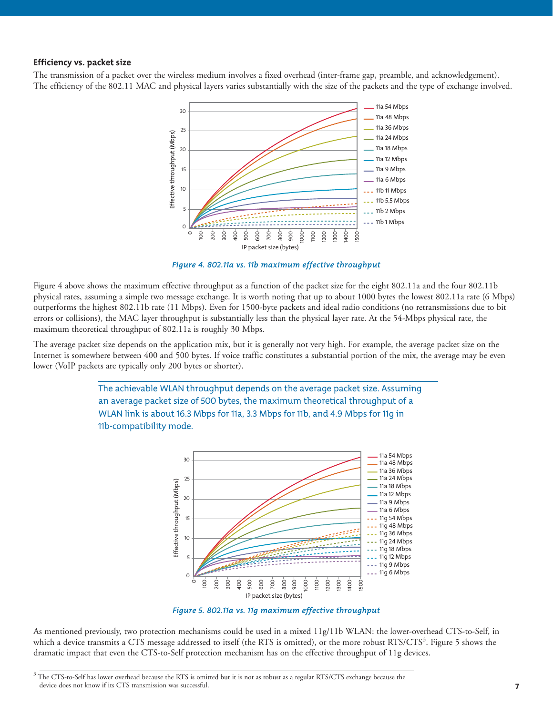#### **Efficiency vs. packet size**

The transmission of a packet over the wireless medium involves a fixed overhead (inter-frame gap, preamble, and acknowledgement). The efficiency of the 802.11 MAC and physical layers varies substantially with the size of the packets and the type of exchange involved.



*Figure 4. 802.11a vs. 11b maximum effective throughput*

Figure 4 above shows the maximum effective throughput as a function of the packet size for the eight 802.11a and the four 802.11b physical rates, assuming a simple two message exchange. It is worth noting that up to about 1000 bytes the lowest 802.11a rate (6 Mbps) outperforms the highest 802.11b rate (11 Mbps). Even for 1500-byte packets and ideal radio conditions (no retransmissions due to bit errors or collisions), the MAC layer throughput is substantially less than the physical layer rate. At the 54-Mbps physical rate, the maximum theoretical throughput of 802.11a is roughly 30 Mbps.

The average packet size depends on the application mix, but it is generally not very high. For example, the average packet size on the Internet is somewhere between 400 and 500 bytes. If voice traffic constitutes a substantial portion of the mix, the average may be even lower (VoIP packets are typically only 200 bytes or shorter).





*Figure 5. 802.11a vs. 11g maximum effective throughput*

As mentioned previously, two protection mechanisms could be used in a mixed 11g/11b WLAN: the lower-overhead CTS-to-Self, in which a device transmits a CTS message addressed to itself (the RTS is omitted), or the more robust RTS/CTS<sup>3</sup>. Figure 5 shows the dramatic impact that even the CTS-to-Self protection mechanism has on the effective throughput of 11g devices.

<sup>&</sup>lt;sup>3</sup> The CTS-to-Self has lower overhead because the RTS is omitted but it is not as robust as a regular RTS/CTS exchange because the device does not know if its CTS transmission was successful.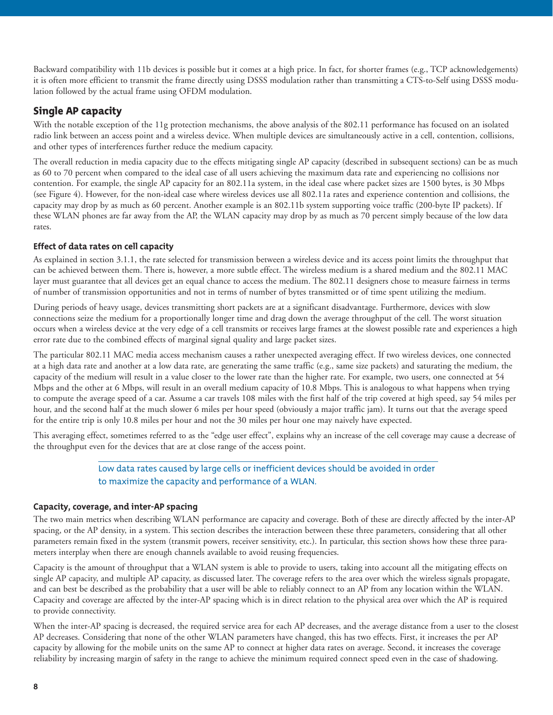Backward compatibility with 11b devices is possible but it comes at a high price. In fact, for shorter frames (e.g., TCP acknowledgements) it is often more efficient to transmit the frame directly using DSSS modulation rather than transmitting a CTS-to-Self using DSSS modulation followed by the actual frame using OFDM modulation.

# Single AP capacity

With the notable exception of the 11g protection mechanisms, the above analysis of the 802.11 performance has focused on an isolated radio link between an access point and a wireless device. When multiple devices are simultaneously active in a cell, contention, collisions, and other types of interferences further reduce the medium capacity.

The overall reduction in media capacity due to the effects mitigating single AP capacity (described in subsequent sections) can be as much as 60 to 70 percent when compared to the ideal case of all users achieving the maximum data rate and experiencing no collisions nor contention. For example, the single AP capacity for an 802.11a system, in the ideal case where packet sizes are 1500 bytes, is 30 Mbps (see Figure 4). However, for the non-ideal case where wireless devices use all 802.11a rates and experience contention and collisions, the capacity may drop by as much as 60 percent. Another example is an 802.11b system supporting voice traffic (200-byte IP packets). If these WLAN phones are far away from the AP, the WLAN capacity may drop by as much as 70 percent simply because of the low data rates.

## **Effect of data rates on cell capacity**

As explained in section 3.1.1, the rate selected for transmission between a wireless device and its access point limits the throughput that can be achieved between them. There is, however, a more subtle effect. The wireless medium is a shared medium and the 802.11 MAC layer must guarantee that all devices get an equal chance to access the medium. The 802.11 designers chose to measure fairness in terms of number of transmission opportunities and not in terms of number of bytes transmitted or of time spent utilizing the medium.

During periods of heavy usage, devices transmitting short packets are at a significant disadvantage. Furthermore, devices with slow connections seize the medium for a proportionally longer time and drag down the average throughput of the cell. The worst situation occurs when a wireless device at the very edge of a cell transmits or receives large frames at the slowest possible rate and experiences a high error rate due to the combined effects of marginal signal quality and large packet sizes.

The particular 802.11 MAC media access mechanism causes a rather unexpected averaging effect. If two wireless devices, one connected at a high data rate and another at a low data rate, are generating the same traffic (e.g., same size packets) and saturating the medium, the capacity of the medium will result in a value closer to the lower rate than the higher rate. For example, two users, one connected at 54 Mbps and the other at 6 Mbps, will result in an overall medium capacity of 10.8 Mbps. This is analogous to what happens when trying to compute the average speed of a car. Assume a car travels 108 miles with the first half of the trip covered at high speed, say 54 miles per hour, and the second half at the much slower 6 miles per hour speed (obviously a major traffic jam). It turns out that the average speed for the entire trip is only 10.8 miles per hour and not the 30 miles per hour one may naively have expected.

This averaging effect, sometimes referred to as the "edge user effect", explains why an increase of the cell coverage may cause a decrease of the throughput even for the devices that are at close range of the access point.

# Low data rates caused by large cells or inefficient devices should be avoided in order to maximize the capacity and performance of a WLAN.

#### **Capacity, coverage, and inter-AP spacing**

The two main metrics when describing WLAN performance are capacity and coverage. Both of these are directly affected by the inter-AP spacing, or the AP density, in a system. This section describes the interaction between these three parameters, considering that all other parameters remain fixed in the system (transmit powers, receiver sensitivity, etc.). In particular, this section shows how these three parameters interplay when there are enough channels available to avoid reusing frequencies.

Capacity is the amount of throughput that a WLAN system is able to provide to users, taking into account all the mitigating effects on single AP capacity, and multiple AP capacity, as discussed later. The coverage refers to the area over which the wireless signals propagate, and can best be described as the probability that a user will be able to reliably connect to an AP from any location within the WLAN. Capacity and coverage are affected by the inter-AP spacing which is in direct relation to the physical area over which the AP is required to provide connectivity.

When the inter-AP spacing is decreased, the required service area for each AP decreases, and the average distance from a user to the closest AP decreases. Considering that none of the other WLAN parameters have changed, this has two effects. First, it increases the per AP capacity by allowing for the mobile units on the same AP to connect at higher data rates on average. Second, it increases the coverage reliability by increasing margin of safety in the range to achieve the minimum required connect speed even in the case of shadowing.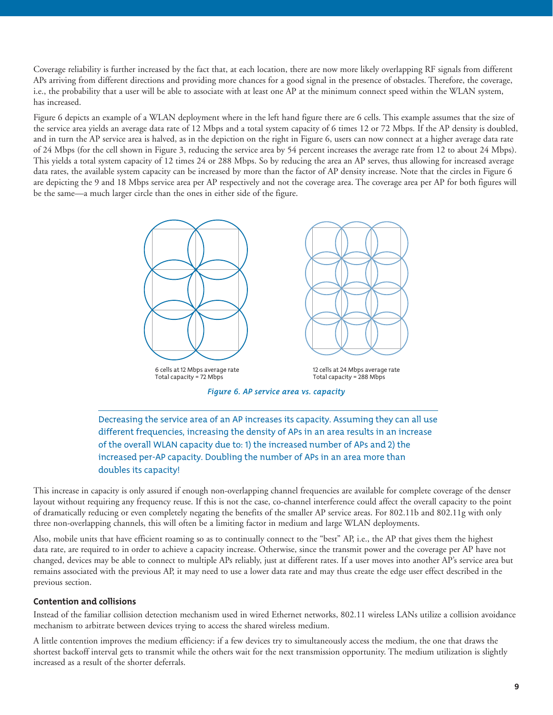Coverage reliability is further increased by the fact that, at each location, there are now more likely overlapping RF signals from different APs arriving from different directions and providing more chances for a good signal in the presence of obstacles. Therefore, the coverage, i.e., the probability that a user will be able to associate with at least one AP at the minimum connect speed within the WLAN system, has increased.

Figure 6 depicts an example of a WLAN deployment where in the left hand figure there are 6 cells. This example assumes that the size of the service area yields an average data rate of 12 Mbps and a total system capacity of 6 times 12 or 72 Mbps. If the AP density is doubled, and in turn the AP service area is halved, as in the depiction on the right in Figure 6, users can now connect at a higher average data rate of 24 Mbps (for the cell shown in Figure 3, reducing the service area by 54 percent increases the average rate from 12 to about 24 Mbps). This yields a total system capacity of 12 times 24 or 288 Mbps. So by reducing the area an AP serves, thus allowing for increased average data rates, the available system capacity can be increased by more than the factor of AP density increase. Note that the circles in Figure 6 are depicting the 9 and 18 Mbps service area per AP respectively and not the coverage area. The coverage area per AP for both figures will be the same—a much larger circle than the ones in either side of the figure.



*Figure 6. AP service area vs. capacity*

Decreasing the service area of an AP increases its capacity. Assuming they can all use different frequencies, increasing the density of APs in an area results in an increase of the overall WLAN capacity due to: 1) the increased number of APs and 2) the increased per-AP capacity. Doubling the number of APs in an area more than doubles its capacity!

This increase in capacity is only assured if enough non-overlapping channel frequencies are available for complete coverage of the denser layout without requiring any frequency reuse. If this is not the case, co-channel interference could affect the overall capacity to the point of dramatically reducing or even completely negating the benefits of the smaller AP service areas. For 802.11b and 802.11g with only three non-overlapping channels, this will often be a limiting factor in medium and large WLAN deployments.

Also, mobile units that have efficient roaming so as to continually connect to the "best" AP, i.e., the AP that gives them the highest data rate, are required to in order to achieve a capacity increase. Otherwise, since the transmit power and the coverage per AP have not changed, devices may be able to connect to multiple APs reliably, just at different rates. If a user moves into another AP's service area but remains associated with the previous AP, it may need to use a lower data rate and may thus create the edge user effect described in the previous section.

#### **Contention and collisions**

Instead of the familiar collision detection mechanism used in wired Ethernet networks, 802.11 wireless LANs utilize a collision avoidance mechanism to arbitrate between devices trying to access the shared wireless medium.

A little contention improves the medium efficiency: if a few devices try to simultaneously access the medium, the one that draws the shortest backoff interval gets to transmit while the others wait for the next transmission opportunity. The medium utilization is slightly increased as a result of the shorter deferrals.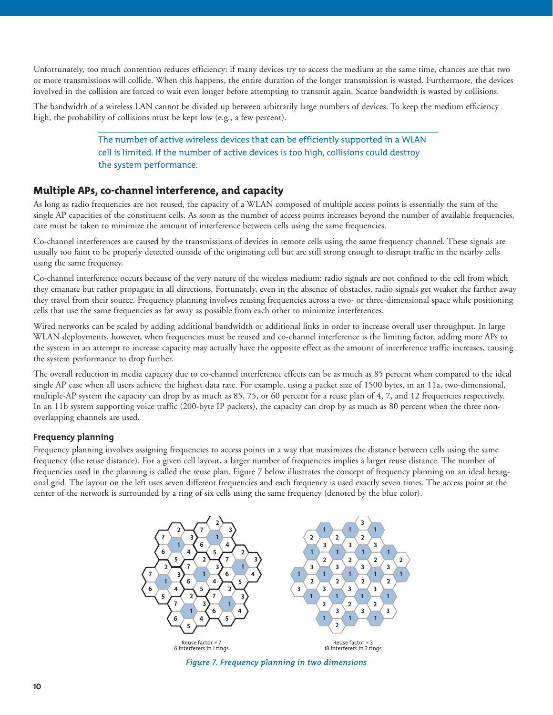Unfortunately, too much contention reduces efficiency: if many devices try to access the medium at the same time, chances are that two or more transmissions will collide. When this happens, the entire duration of the longer transmission is wasted. Furthermore, the devices involved in the collision are forced to wait even longer before attempting to transmit again. Scarce bandwidth is wasted by collisions.

The bandwidth of a wireless LAN cannot be divided up between arbitrarily large numbers of devices. To keep the medium efficiency high, the probability of collisions must be kept low (e.g., a few percent).

> The number of active wireless devices that can be efficiently supported in a WLAN cell is limited. If the number of active devices is too high, collisions could destroy the system performance.

# Multiple APs, co-channel interference, and capacity

As long as radio frequencies are not reused, the capacity of a WLAN composed of multiple access points is essentially the sum of the single AP capacities of the constituent cells. As soon as the number of access points increases beyond the number of available frequencies, care must be taken to minimize the amount of interference between cells using the same frequencies.

Co-channel interferences are caused by the transmissions of devices in remote cells using the same frequency channel. These signals are usually too faint to be properly detected outside of the originating cell but are still strong enough to disrupt traffic in the nearby cells using the same frequency.

Co-channel interference occurs because of the very nature of the wireless medium: radio signals are not confined to the cell from which they emanate but rather propagate in all directions. Fortunately, even in the absence of obstacles, radio signals get weaker the farther away they travel from their source. Frequency planning involves reusing frequencies across a two- or three-dimensional space while positioning cells that use the same frequencies as far away as possible from each other to minimize interferences.

Wired networks can be scaled by adding additional bandwidth or additional links in order to increase overall user throughput. In large WLAN deployments, however, when frequencies must be reused and co-channel interference is the limiting factor, adding more APs to the system in an attempt to increase capacity may actually have the opposite effect as the amount of interference traffic increases, causing the system performance to drop further.

The overall reduction in media capacity due to co-channel interference effects can be as much as 85 percent when compared to the ideal single AP case when all users achieve the highest data rate. For example, using a packet size of 1500 bytes, in an 11a, two-dimensional, multiple-AP system the capacity can drop by as much as 85, 75, or 60 percent for a reuse plan of 4, 7, and 12 frequencies respectively. In an 11b system supporting voice traffic (200-byte IP packets), the capacity can drop by as much as 80 percent when the three nonoverlapping channels are used.

#### **Frequency planning**

Frequency planning involves assigning frequencies to access points in a way that maximizes the distance between cells using the same frequency (the reuse distance). For a given cell layout, a larger number of frequencies implies a larger reuse distance. The number of frequencies used in the planning is called the reuse plan. Figure 7 below illustrates the concept of frequency planning on an ideal hexagonal grid. The layout on the left uses seven different frequencies and each frequency is used exactly seven times. The access point at the center of the network is surrounded by a ring of six cells using the same frequency (denoted by the blue color).



*Figure 7. Frequency planning in two dimensions*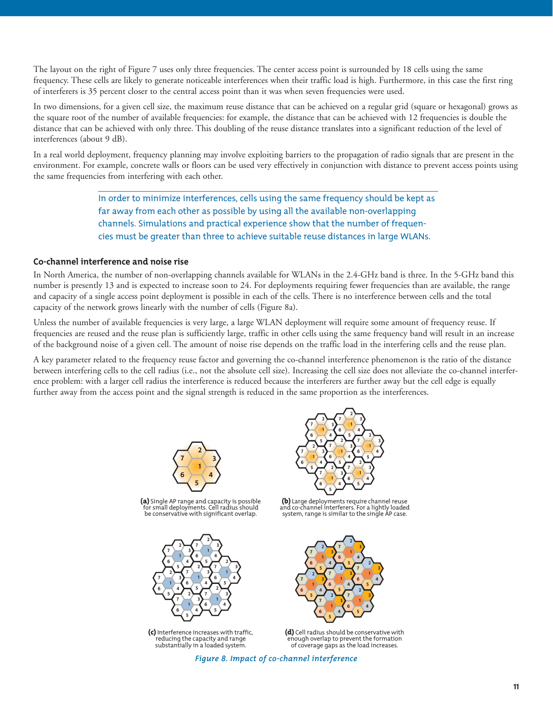The layout on the right of Figure 7 uses only three frequencies. The center access point is surrounded by 18 cells using the same frequency. These cells are likely to generate noticeable interferences when their traffic load is high. Furthermore, in this case the first ring of interferers is 35 percent closer to the central access point than it was when seven frequencies were used.

In two dimensions, for a given cell size, the maximum reuse distance that can be achieved on a regular grid (square or hexagonal) grows as the square root of the number of available frequencies: for example, the distance that can be achieved with 12 frequencies is double the distance that can be achieved with only three. This doubling of the reuse distance translates into a significant reduction of the level of interferences (about 9 dB).

In a real world deployment, frequency planning may involve exploiting barriers to the propagation of radio signals that are present in the environment. For example, concrete walls or floors can be used very effectively in conjunction with distance to prevent access points using the same frequencies from interfering with each other.

> In order to minimize interferences, cells using the same frequency should be kept as far away from each other as possible by using all the available non-overlapping channels. Simulations and practical experience show that the number of frequencies must be greater than three to achieve suitable reuse distances in large WLANs.

#### **Co-channel interference and noise rise**

In North America, the number of non-overlapping channels available for WLANs in the 2.4-GHz band is three. In the 5-GHz band this number is presently 13 and is expected to increase soon to 24. For deployments requiring fewer frequencies than are available, the range and capacity of a single access point deployment is possible in each of the cells. There is no interference between cells and the total capacity of the network grows linearly with the number of cells (Figure 8a).

Unless the number of available frequencies is very large, a large WLAN deployment will require some amount of frequency reuse. If frequencies are reused and the reuse plan is sufficiently large, traffic in other cells using the same frequency band will result in an increase of the background noise of a given cell. The amount of noise rise depends on the traffic load in the interfering cells and the reuse plan.

A key parameter related to the frequency reuse factor and governing the co-channel interference phenomenon is the ratio of the distance between interfering cells to the cell radius (i.e., not the absolute cell size). Increasing the cell size does not alleviate the co-channel interference problem: with a larger cell radius the interference is reduced because the interferers are further away but the cell edge is equally further away from the access point and the signal strength is reduced in the same proportion as the interferences.





(a) Single AP range and capacity is possible for small deployments. Cell radius should be conservative with significant overlap.



(c) Interference increases with traffic, reducing the capacity and range substantially in a loaded system.

(b) Large deployments require channel reuse and co-channel interferers. For a lightly loaded system, range is similar to the single AP case.



(d) Cell radius should be conservative with enough overlap to prevent the formation of coverage gaps as the load increases.

*Figure 8. Impact of co-channel interference*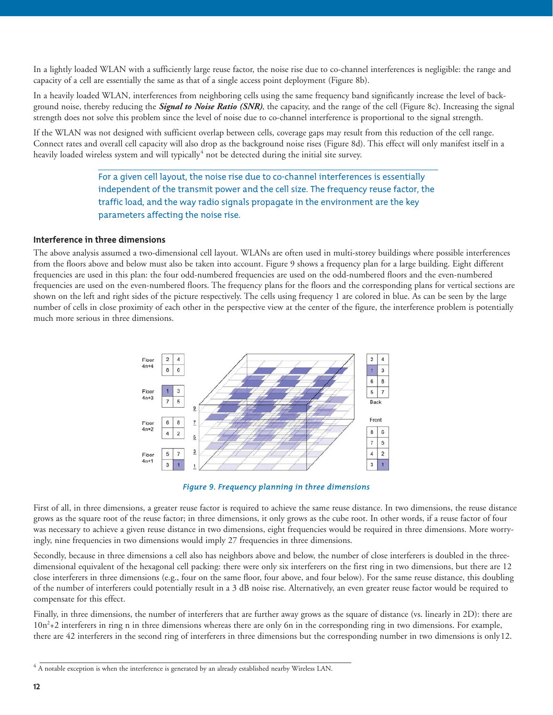In a lightly loaded WLAN with a sufficiently large reuse factor, the noise rise due to co-channel interferences is negligible: the range and capacity of a cell are essentially the same as that of a single access point deployment (Figure 8b).

In a heavily loaded WLAN, interferences from neighboring cells using the same frequency band significantly increase the level of background noise, thereby reducing the *Signal to Noise Ratio (SNR)*, the capacity, and the range of the cell (Figure 8c). Increasing the signal strength does not solve this problem since the level of noise due to co-channel interference is proportional to the signal strength.

If the WLAN was not designed with sufficient overlap between cells, coverage gaps may result from this reduction of the cell range. Connect rates and overall cell capacity will also drop as the background noise rises (Figure 8d). This effect will only manifest itself in a heavily loaded wireless system and will typically<sup>4</sup> not be detected during the initial site survey.

> For a given cell layout, the noise rise due to co-channel interferences is essentially independent of the transmit power and the cell size. The frequency reuse factor, the traffic load, and the way radio signals propagate in the environment are the key parameters affecting the noise rise.

#### **Interference in three dimensions**

The above analysis assumed a two-dimensional cell layout. WLANs are often used in multi-storey buildings where possible interferences from the floors above and below must also be taken into account. Figure 9 shows a frequency plan for a large building. Eight different frequencies are used in this plan: the four odd-numbered frequencies are used on the odd-numbered floors and the even-numbered frequencies are used on the even-numbered floors. The frequency plans for the floors and the corresponding plans for vertical sections are shown on the left and right sides of the picture respectively. The cells using frequency 1 are colored in blue. As can be seen by the large number of cells in close proximity of each other in the perspective view at the center of the figure, the interference problem is potentially much more serious in three dimensions.



*Figure 9. Frequency planning in three dimensions*

First of all, in three dimensions, a greater reuse factor is required to achieve the same reuse distance. In two dimensions, the reuse distance grows as the square root of the reuse factor; in three dimensions, it only grows as the cube root. In other words, if a reuse factor of four was necessary to achieve a given reuse distance in two dimensions, eight frequencies would be required in three dimensions. More worryingly, nine frequencies in two dimensions would imply 27 frequencies in three dimensions.

Secondly, because in three dimensions a cell also has neighbors above and below, the number of close interferers is doubled in the threedimensional equivalent of the hexagonal cell packing: there were only six interferers on the first ring in two dimensions, but there are 12 close interferers in three dimensions (e.g., four on the same floor, four above, and four below). For the same reuse distance, this doubling of the number of interferers could potentially result in a 3 dB noise rise. Alternatively, an even greater reuse factor would be required to compensate for this effect.

Finally, in three dimensions, the number of interferers that are further away grows as the square of distance (vs. linearly in 2D): there are 10n<sup>2</sup>+2 interferers in ring n in three dimensions whereas there are only 6n in the corresponding ring in two dimensions. For example, there are 42 interferers in the second ring of interferers in three dimensions but the corresponding number in two dimensions is only12.

 $4$  A notable exception is when the interference is generated by an already established nearby Wireless LAN.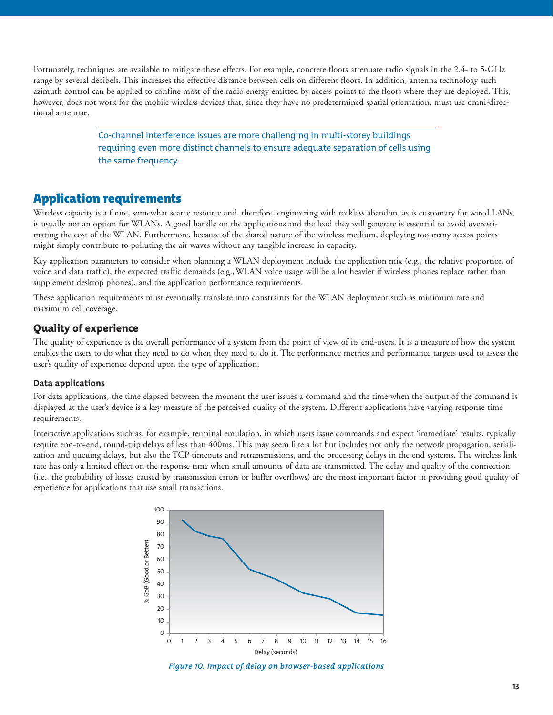Fortunately, techniques are available to mitigate these effects. For example, concrete floors attenuate radio signals in the 2.4- to 5-GHz range by several decibels. This increases the effective distance between cells on different floors. In addition, antenna technology such azimuth control can be applied to confine most of the radio energy emitted by access points to the floors where they are deployed. This, however, does not work for the mobile wireless devices that, since they have no predetermined spatial orientation, must use omni-directional antennae.

> Co-channel interference issues are more challenging in multi-storey buildings requiring even more distinct channels to ensure adequate separation of cells using the same frequency.

# Application requirements

Wireless capacity is a finite, somewhat scarce resource and, therefore, engineering with reckless abandon, as is customary for wired LANs, is usually not an option for WLANs. A good handle on the applications and the load they will generate is essential to avoid overestimating the cost of the WLAN. Furthermore, because of the shared nature of the wireless medium, deploying too many access points might simply contribute to polluting the air waves without any tangible increase in capacity.

Key application parameters to consider when planning a WLAN deployment include the application mix (e.g., the relative proportion of voice and data traffic), the expected traffic demands (e.g.,WLAN voice usage will be a lot heavier if wireless phones replace rather than supplement desktop phones), and the application performance requirements.

These application requirements must eventually translate into constraints for the WLAN deployment such as minimum rate and maximum cell coverage.

# Quality of experience

The quality of experience is the overall performance of a system from the point of view of its end-users. It is a measure of how the system enables the users to do what they need to do when they need to do it. The performance metrics and performance targets used to assess the user's quality of experience depend upon the type of application.

#### **Data applications**

For data applications, the time elapsed between the moment the user issues a command and the time when the output of the command is displayed at the user's device is a key measure of the perceived quality of the system. Different applications have varying response time requirements.

Interactive applications such as, for example, terminal emulation, in which users issue commands and expect 'immediate' results, typically require end-to-end, round-trip delays of less than 400ms. This may seem like a lot but includes not only the network propagation, serialization and queuing delays, but also the TCP timeouts and retransmissions, and the processing delays in the end systems. The wireless link rate has only a limited effect on the response time when small amounts of data are transmitted. The delay and quality of the connection (i.e., the probability of losses caused by transmission errors or buffer overflows) are the most important factor in providing good quality of experience for applications that use small transactions.



*Figure 10. Impact of delay on browser-based applications*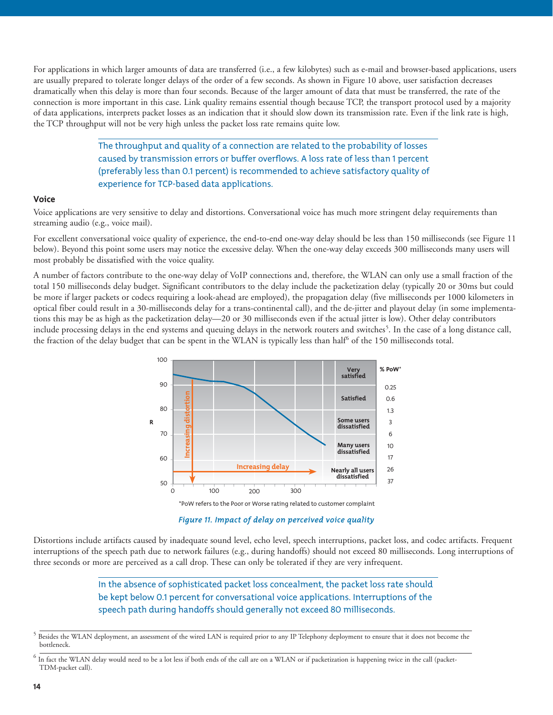For applications in which larger amounts of data are transferred (i.e., a few kilobytes) such as e-mail and browser-based applications, users are usually prepared to tolerate longer delays of the order of a few seconds. As shown in Figure 10 above, user satisfaction decreases dramatically when this delay is more than four seconds. Because of the larger amount of data that must be transferred, the rate of the connection is more important in this case. Link quality remains essential though because TCP, the transport protocol used by a majority of data applications, interprets packet losses as an indication that it should slow down its transmission rate. Even if the link rate is high, the TCP throughput will not be very high unless the packet loss rate remains quite low.

> The throughput and quality of a connection are related to the probability of losses caused by transmission errors or buffer overflows. A loss rate of less than 1 percent (preferably less than 0.1 percent) is recommended to achieve satisfactory quality of experience for TCP-based data applications.

#### **Voice**

Voice applications are very sensitive to delay and distortions. Conversational voice has much more stringent delay requirements than streaming audio (e.g., voice mail).

For excellent conversational voice quality of experience, the end-to-end one-way delay should be less than 150 milliseconds (see Figure 11 below). Beyond this point some users may notice the excessive delay. When the one-way delay exceeds 300 milliseconds many users will most probably be dissatisfied with the voice quality.

A number of factors contribute to the one-way delay of VoIP connections and, therefore, the WLAN can only use a small fraction of the total 150 milliseconds delay budget. Significant contributors to the delay include the packetization delay (typically 20 or 30ms but could be more if larger packets or codecs requiring a look-ahead are employed), the propagation delay (five milliseconds per 1000 kilometers in optical fiber could result in a 30-milliseconds delay for a trans-continental call), and the de-jitter and playout delay (in some implementations this may be as high as the packetization delay—20 or 30 milliseconds even if the actual jitter is low). Other delay contributors include processing delays in the end systems and queuing delays in the network routers and switches<sup>5</sup>. In the case of a long distance call, the fraction of the delay budget that can be spent in the WLAN is typically less than half<sup>6</sup> of the 150 milliseconds total.



*Figure 11. Impact of delay on perceived voice quality*

Distortions include artifacts caused by inadequate sound level, echo level, speech interruptions, packet loss, and codec artifacts. Frequent interruptions of the speech path due to network failures (e.g., during handoffs) should not exceed 80 milliseconds. Long interruptions of three seconds or more are perceived as a call drop. These can only be tolerated if they are very infrequent.

> In the absence of sophisticated packet loss concealment, the packet loss rate should be kept below 0.1 percent for conversational voice applications. Interruptions of the speech path during handoffs should generally not exceed 80 milliseconds.

<sup>&</sup>lt;sup>5</sup> Besides the WLAN deployment, an assessment of the wired LAN is required prior to any IP Telephony deployment to ensure that it does not become the bottleneck.

 $<sup>6</sup>$  In fact the WLAN delay would need to be a lot less if both ends of the call are on a WLAN or if packetization is happening twice in the call (packet-</sup> TDM-packet call).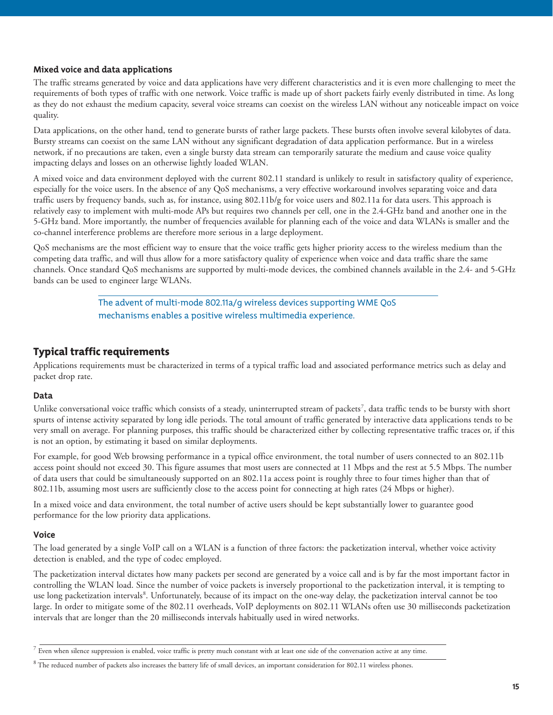#### **Mixed voice and data applications**

The traffic streams generated by voice and data applications have very different characteristics and it is even more challenging to meet the requirements of both types of traffic with one network. Voice traffic is made up of short packets fairly evenly distributed in time. As long as they do not exhaust the medium capacity, several voice streams can coexist on the wireless LAN without any noticeable impact on voice quality.

Data applications, on the other hand, tend to generate bursts of rather large packets. These bursts often involve several kilobytes of data. Bursty streams can coexist on the same LAN without any significant degradation of data application performance. But in a wireless network, if no precautions are taken, even a single bursty data stream can temporarily saturate the medium and cause voice quality impacting delays and losses on an otherwise lightly loaded WLAN.

A mixed voice and data environment deployed with the current 802.11 standard is unlikely to result in satisfactory quality of experience, especially for the voice users. In the absence of any QoS mechanisms, a very effective workaround involves separating voice and data traffic users by frequency bands, such as, for instance, using 802.11b/g for voice users and 802.11a for data users. This approach is relatively easy to implement with multi-mode APs but requires two channels per cell, one in the 2.4-GHz band and another one in the 5-GHz band. More importantly, the number of frequencies available for planning each of the voice and data WLANs is smaller and the co-channel interference problems are therefore more serious in a large deployment.

QoS mechanisms are the most efficient way to ensure that the voice traffic gets higher priority access to the wireless medium than the competing data traffic, and will thus allow for a more satisfactory quality of experience when voice and data traffic share the same channels. Once standard QoS mechanisms are supported by multi-mode devices, the combined channels available in the 2.4- and 5-GHz bands can be used to engineer large WLANs.

> The advent of multi-mode 802.11a/g wireless devices supporting WME QoS mechanisms enables a positive wireless multimedia experience.

# Typical traffic requirements

Applications requirements must be characterized in terms of a typical traffic load and associated performance metrics such as delay and packet drop rate.

#### **Data**

Unlike conversational voice traffic which consists of a steady, uninterrupted stream of packets<sup>7</sup>, data traffic tends to be bursty with short spurts of intense activity separated by long idle periods. The total amount of traffic generated by interactive data applications tends to be very small on average. For planning purposes, this traffic should be characterized either by collecting representative traffic traces or, if this is not an option, by estimating it based on similar deployments.

For example, for good Web browsing performance in a typical office environment, the total number of users connected to an 802.11b access point should not exceed 30. This figure assumes that most users are connected at 11 Mbps and the rest at 5.5 Mbps. The number of data users that could be simultaneously supported on an 802.11a access point is roughly three to four times higher than that of 802.11b, assuming most users are sufficiently close to the access point for connecting at high rates (24 Mbps or higher).

In a mixed voice and data environment, the total number of active users should be kept substantially lower to guarantee good performance for the low priority data applications.

#### **Voice**

The load generated by a single VoIP call on a WLAN is a function of three factors: the packetization interval, whether voice activity detection is enabled, and the type of codec employed.

The packetization interval dictates how many packets per second are generated by a voice call and is by far the most important factor in controlling the WLAN load. Since the number of voice packets is inversely proportional to the packetization interval, it is tempting to use long packetization intervals<sup>8</sup>. Unfortunately, because of its impact on the one-way delay, the packetization interval cannot be too large. In order to mitigate some of the 802.11 overheads, VoIP deployments on 802.11 WLANs often use 30 milliseconds packetization intervals that are longer than the 20 milliseconds intervals habitually used in wired networks.

 $\frac{7}{2}$  Even when silence suppression is enabled, voice traffic is pretty much constant with at least one side of the conversation active at any time.

<sup>&</sup>lt;sup>8</sup> The reduced number of packets also increases the battery life of small devices, an important consideration for 802.11 wireless phones.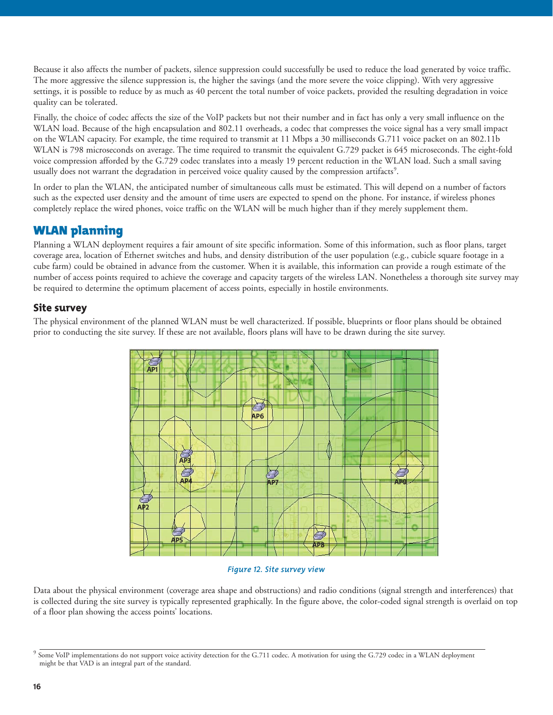Because it also affects the number of packets, silence suppression could successfully be used to reduce the load generated by voice traffic. The more aggressive the silence suppression is, the higher the savings (and the more severe the voice clipping). With very aggressive settings, it is possible to reduce by as much as 40 percent the total number of voice packets, provided the resulting degradation in voice quality can be tolerated.

Finally, the choice of codec affects the size of the VoIP packets but not their number and in fact has only a very small influence on the WLAN load. Because of the high encapsulation and 802.11 overheads, a codec that compresses the voice signal has a very small impact on the WLAN capacity. For example, the time required to transmit at 11 Mbps a 30 milliseconds G.711 voice packet on an 802.11b WLAN is 798 microseconds on average. The time required to transmit the equivalent G.729 packet is 645 microseconds. The eight-fold voice compression afforded by the G.729 codec translates into a measly 19 percent reduction in the WLAN load. Such a small saving usually does not warrant the degradation in perceived voice quality caused by the compression artifacts<sup>9</sup>.

In order to plan the WLAN, the anticipated number of simultaneous calls must be estimated. This will depend on a number of factors such as the expected user density and the amount of time users are expected to spend on the phone. For instance, if wireless phones completely replace the wired phones, voice traffic on the WLAN will be much higher than if they merely supplement them.

# WLAN planning

Planning a WLAN deployment requires a fair amount of site specific information. Some of this information, such as floor plans, target coverage area, location of Ethernet switches and hubs, and density distribution of the user population (e.g., cubicle square footage in a cube farm) could be obtained in advance from the customer. When it is available, this information can provide a rough estimate of the number of access points required to achieve the coverage and capacity targets of the wireless LAN. Nonetheless a thorough site survey may be required to determine the optimum placement of access points, especially in hostile environments.

# Site survey

The physical environment of the planned WLAN must be well characterized. If possible, blueprints or floor plans should be obtained prior to conducting the site survey. If these are not available, floors plans will have to be drawn during the site survey.



#### *Figure 12. Site survey view*

Data about the physical environment (coverage area shape and obstructions) and radio conditions (signal strength and interferences) that is collected during the site survey is typically represented graphically. In the figure above, the color-coded signal strength is overlaid on top of a floor plan showing the access points' locations.

<sup>&</sup>lt;sup>9</sup> Some VoIP implementations do not support voice activity detection for the G.711 codec. A motivation for using the G.729 codec in a WLAN deployment might be that VAD is an integral part of the standard.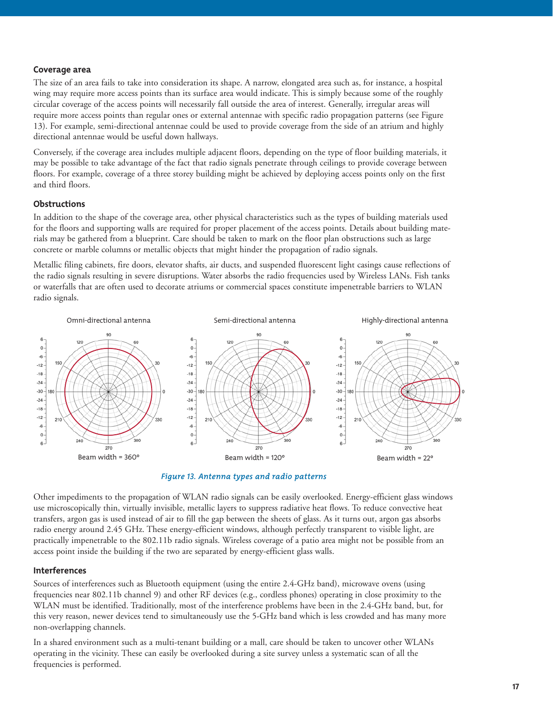#### **Coverage area**

The size of an area fails to take into consideration its shape. A narrow, elongated area such as, for instance, a hospital wing may require more access points than its surface area would indicate. This is simply because some of the roughly circular coverage of the access points will necessarily fall outside the area of interest. Generally, irregular areas will require more access points than regular ones or external antennae with specific radio propagation patterns (see Figure 13). For example, semi-directional antennae could be used to provide coverage from the side of an atrium and highly directional antennae would be useful down hallways.

Conversely, if the coverage area includes multiple adjacent floors, depending on the type of floor building materials, it may be possible to take advantage of the fact that radio signals penetrate through ceilings to provide coverage between floors. For example, coverage of a three storey building might be achieved by deploying access points only on the first and third floors.

#### **Obstructions**

In addition to the shape of the coverage area, other physical characteristics such as the types of building materials used for the floors and supporting walls are required for proper placement of the access points. Details about building materials may be gathered from a blueprint. Care should be taken to mark on the floor plan obstructions such as large concrete or marble columns or metallic objects that might hinder the propagation of radio signals.

Metallic filing cabinets, fire doors, elevator shafts, air ducts, and suspended fluorescent light casings cause reflections of the radio signals resulting in severe disruptions. Water absorbs the radio frequencies used by Wireless LANs. Fish tanks or waterfalls that are often used to decorate atriums or commercial spaces constitute impenetrable barriers to WLAN radio signals.



*Figure 13. Antenna types and radio patterns*

Other impediments to the propagation of WLAN radio signals can be easily overlooked. Energy-efficient glass windows use microscopically thin, virtually invisible, metallic layers to suppress radiative heat flows. To reduce convective heat transfers, argon gas is used instead of air to fill the gap between the sheets of glass. As it turns out, argon gas absorbs radio energy around 2.45 GHz. These energy-efficient windows, although perfectly transparent to visible light, are practically impenetrable to the 802.11b radio signals. Wireless coverage of a patio area might not be possible from an access point inside the building if the two are separated by energy-efficient glass walls.

#### **Interferences**

Sources of interferences such as Bluetooth equipment (using the entire 2.4-GHz band), microwave ovens (using frequencies near 802.11b channel 9) and other RF devices (e.g., cordless phones) operating in close proximity to the WLAN must be identified. Traditionally, most of the interference problems have been in the 2.4-GHz band, but, for this very reason, newer devices tend to simultaneously use the 5-GHz band which is less crowded and has many more non-overlapping channels.

In a shared environment such as a multi-tenant building or a mall, care should be taken to uncover other WLANs operating in the vicinity. These can easily be overlooked during a site survey unless a systematic scan of all the frequencies is performed.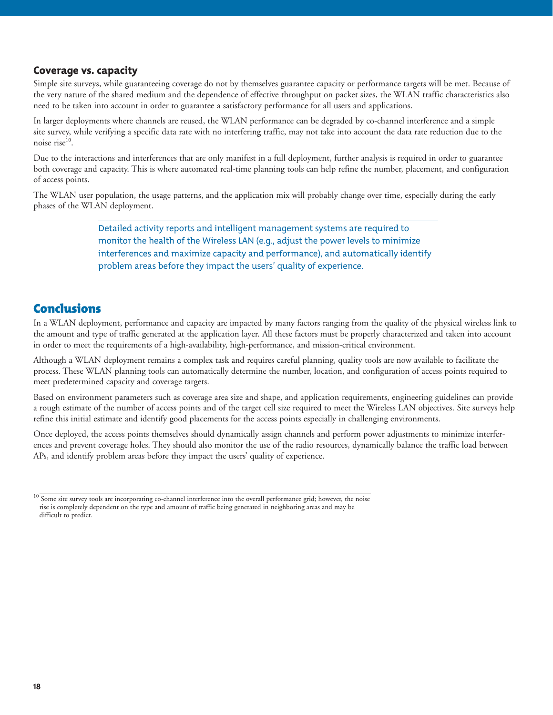## Coverage vs. capacity

Simple site surveys, while guaranteeing coverage do not by themselves guarantee capacity or performance targets will be met. Because of the very nature of the shared medium and the dependence of effective throughput on packet sizes, the WLAN traffic characteristics also need to be taken into account in order to guarantee a satisfactory performance for all users and applications.

In larger deployments where channels are reused, the WLAN performance can be degraded by co-channel interference and a simple site survey, while verifying a specific data rate with no interfering traffic, may not take into account the data rate reduction due to the noise rise<sup>10</sup>.

Due to the interactions and interferences that are only manifest in a full deployment, further analysis is required in order to guarantee both coverage and capacity. This is where automated real-time planning tools can help refine the number, placement, and configuration of access points.

The WLAN user population, the usage patterns, and the application mix will probably change over time, especially during the early phases of the WLAN deployment.

> Detailed activity reports and intelligent management systems are required to monitor the health of the Wireless LAN (e.g., adjust the power levels to minimize interferences and maximize capacity and performance), and automatically identify problem areas before they impact the users' quality of experience.

# Conclusions

In a WLAN deployment, performance and capacity are impacted by many factors ranging from the quality of the physical wireless link to the amount and type of traffic generated at the application layer. All these factors must be properly characterized and taken into account in order to meet the requirements of a high-availability, high-performance, and mission-critical environment.

Although a WLAN deployment remains a complex task and requires careful planning, quality tools are now available to facilitate the process. These WLAN planning tools can automatically determine the number, location, and configuration of access points required to meet predetermined capacity and coverage targets.

Based on environment parameters such as coverage area size and shape, and application requirements, engineering guidelines can provide a rough estimate of the number of access points and of the target cell size required to meet the Wireless LAN objectives. Site surveys help refine this initial estimate and identify good placements for the access points especially in challenging environments.

Once deployed, the access points themselves should dynamically assign channels and perform power adjustments to minimize interferences and prevent coverage holes. They should also monitor the use of the radio resources, dynamically balance the traffic load between APs, and identify problem areas before they impact the users' quality of experience.

<sup>&</sup>lt;sup>10</sup> Some site survey tools are incorporating co-channel interference into the overall performance grid; however, the noise rise is completely dependent on the type and amount of traffic being generated in neighboring areas and may be difficult to predict.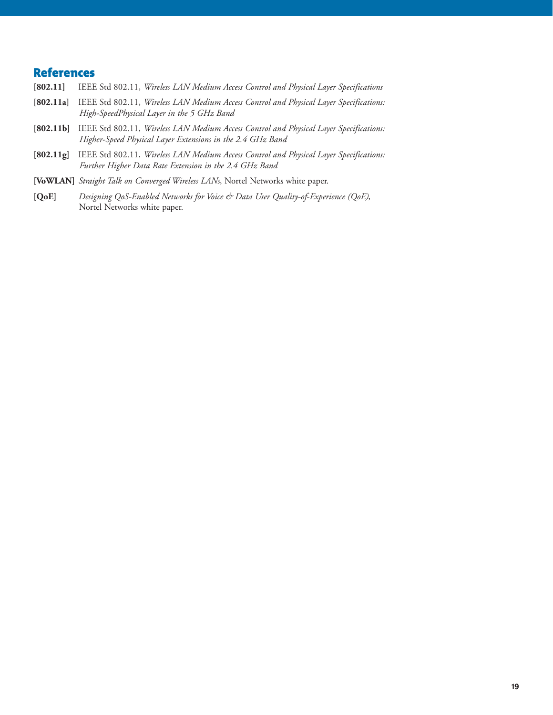# **References**<br>[802.11] IEEE

- **[802.11]** IEEE Std 802.11, *Wireless LAN Medium Access Control and Physical Layer Specifications*
- **[802.11a]** IEEE Std 802.11, *Wireless LAN Medium Access Control and Physical Layer Specifications: High-SpeedPhysical Layer in the 5 GHz Band*
- **[802.11b]** IEEE Std 802.11, *Wireless LAN Medium Access Control and Physical Layer Specifications: Higher-Speed Physical Layer Extensions in the 2.4 GHz Band*
- **[802.11g]** IEEE Std 802.11, *Wireless LAN Medium Access Control and Physical Layer Specifications: Further Higher Data Rate Extension in the 2.4 GHz Band*
- **[VoWLAN]** *Straight Talk on Converged Wireless LANs*, Nortel Networks white paper.
- **[QoE]** *Designing QoS-Enabled Networks for Voice & Data User Quality-of-Experience (QoE)*, Nortel Networks white paper.